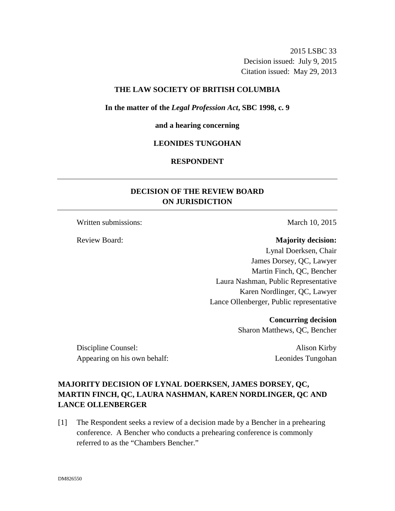2015 LSBC 33 Decision issued: July 9, 2015 Citation issued: May 29, 2013

#### **THE LAW SOCIETY OF BRITISH COLUMBIA**

**In the matter of the** *Legal Profession Act***, SBC 1998, c. 9** 

#### **and a hearing concerning**

#### **LEONIDES TUNGOHAN**

# **RESPONDENT**

# **DECISION OF THE REVIEW BOARD ON JURISDICTION**

Written submissions: March 10, 2015

# Review Board: **Majority decision:**

Lynal Doerksen, Chair James Dorsey, QC, Lawyer Martin Finch, QC, Bencher Laura Nashman, Public Representative Karen Nordlinger, QC, Lawyer Lance Ollenberger, Public representative

> **Concurring decision**  Sharon Matthews, QC, Bencher

Discipline Counsel: Alison Kirby Appearing on his own behalf: Leonides Tungohan

# **MAJORITY DECISION OF LYNAL DOERKSEN, JAMES DORSEY, QC, MARTIN FINCH, QC, LAURA NASHMAN, KAREN NORDLINGER, QC AND LANCE OLLENBERGER**

[1] The Respondent seeks a review of a decision made by a Bencher in a prehearing conference. A Bencher who conducts a prehearing conference is commonly referred to as the "Chambers Bencher."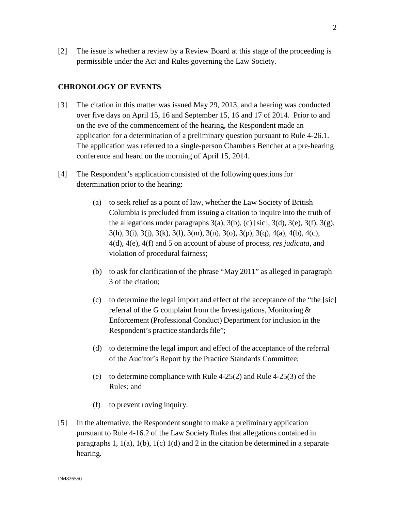[2] The issue is whether a review by a Review Board at this stage of the proceeding is permissible under the Act and Rules governing the Law Society.

# **CHRONOLOGY OF EVENTS**

- [3] The citation in this matter was issued May 29, 2013, and a hearing was conducted over five days on April 15, 16 and September 15, 16 and 17 of 2014. Prior to and on the eve of the commencement of the hearing, the Respondent made an application for a determination of a preliminary question pursuant to Rule 4-26.1. The application was referred to a single-person Chambers Bencher at a pre-hearing conference and heard on the morning of April 15, 2014.
- [4] The Respondent's application consisted of the following questions for determination prior to the hearing:
	- (a) to seek relief as a point of law, whether the Law Society of British Columbia is precluded from issuing a citation to inquire into the truth of the allegations under paragraphs  $3(a)$ ,  $3(b)$ , (c) [sic],  $3(d)$ ,  $3(e)$ ,  $3(f)$ ,  $3(g)$ , 3(h), 3(i), 3(j), 3(k), 3(l), 3(m), 3(n), 3(o), 3(p), 3(q), 4(a), 4(b), 4(c), 4(d), 4(e), 4(f) and 5 on account of abuse of process, *res judicata,* and violation of procedural fairness;
	- (b) to ask for clarification of the phrase "May 2011" as alleged in paragraph 3 of the citation;
	- (c) to determine the legal import and effect of the acceptance of the "the [sic] referral of the G complaint from the Investigations, Monitoring & Enforcement (Professional Conduct) Department for inclusion in the Respondent's practice standards file";
	- (d) to determine the legal import and effect of the acceptance of the referral of the Auditor's Report by the Practice Standards Committee;
	- (e) to determine compliance with Rule 4-25(2) and Rule 4-25(3) of the Rules; and
	- (f) to prevent roving inquiry.
- [5] In the alternative, the Respondent sought to make a preliminary application pursuant to Rule 4-16.2 of the Law Society Rules that allegations contained in paragraphs 1, 1(a), 1(b), 1(c) 1(d) and 2 in the citation be determined in a separate hearing.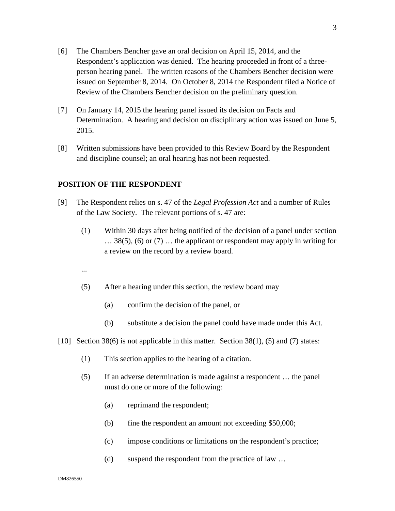- [6] The Chambers Bencher gave an oral decision on April 15, 2014, and the Respondent's application was denied. The hearing proceeded in front of a threeperson hearing panel. The written reasons of the Chambers Bencher decision were issued on September 8, 2014. On October 8, 2014 the Respondent filed a Notice of Review of the Chambers Bencher decision on the preliminary question.
- [7] On January 14, 2015 the hearing panel issued its decision on Facts and Determination. A hearing and decision on disciplinary action was issued on June 5, 2015.
- [8] Written submissions have been provided to this Review Board by the Respondent and discipline counsel; an oral hearing has not been requested.

#### **POSITION OF THE RESPONDENT**

- [9] The Respondent relies on s. 47 of the *Legal Profession Act* and a number of Rules of the Law Society. The relevant portions of s. 47 are:
	- (1) Within 30 days after being notified of the decision of a panel under section … 38(5), (6) or (7) … the applicant or respondent may apply in writing for a review on the record by a review board.
	- ...
	- (5) After a hearing under this section, the review board may
		- (a) confirm the decision of the panel, or
		- (b) substitute a decision the panel could have made under this Act.
- [10] Section 38(6) is not applicable in this matter. Section 38(1), (5) and (7) states:
	- (1) This section applies to the hearing of a citation.
	- (5) If an adverse determination is made against a respondent … the panel must do one or more of the following:
		- (a) reprimand the respondent;
		- (b) fine the respondent an amount not exceeding \$50,000;
		- (c) impose conditions or limitations on the respondent's practice;
		- (d) suspend the respondent from the practice of law …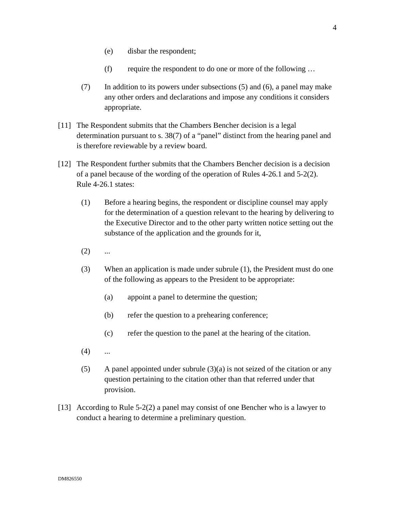- (e) disbar the respondent;
- (f) require the respondent to do one or more of the following …
- (7) In addition to its powers under subsections (5) and (6), a panel may make any other orders and declarations and impose any conditions it considers appropriate.
- [11] The Respondent submits that the Chambers Bencher decision is a legal determination pursuant to s. 38(7) of a "panel" distinct from the hearing panel and is therefore reviewable by a review board.
- [12] The Respondent further submits that the Chambers Bencher decision is a decision of a panel because of the wording of the operation of Rules 4-26.1 and 5-2(2). Rule 4-26.1 states:
	- (1) Before a hearing begins, the respondent or discipline counsel may apply for the determination of a question relevant to the hearing by delivering to the Executive Director and to the other party written notice setting out the substance of the application and the grounds for it,
	- $(2)$  ...
	- (3) When an application is made under subrule (1), the President must do one of the following as appears to the President to be appropriate:
		- (a) appoint a panel to determine the question;
		- (b) refer the question to a prehearing conference;
		- (c) refer the question to the panel at the hearing of the citation.
	- $(4)$  ...
	- (5) A panel appointed under subrule  $(3)(a)$  is not seized of the citation or any question pertaining to the citation other than that referred under that provision.
- [13] According to Rule 5-2(2) a panel may consist of one Bencher who is a lawyer to conduct a hearing to determine a preliminary question.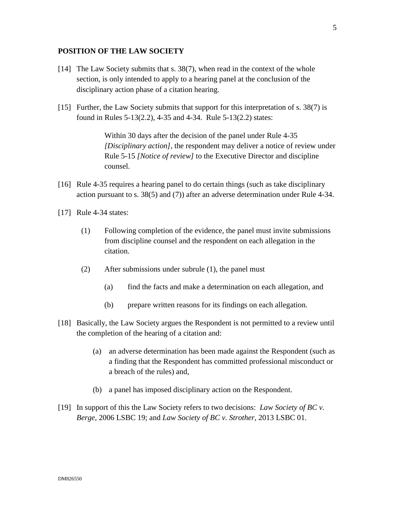### **POSITION OF THE LAW SOCIETY**

- [14] The Law Society submits that s. 38(7), when read in the context of the whole section, is only intended to apply to a hearing panel at the conclusion of the disciplinary action phase of a citation hearing.
- [15] Further, the Law Society submits that support for this interpretation of s. 38(7) is found in Rules 5-13(2.2), 4-35 and 4-34. Rule 5-13(2.2) states:

Within 30 days after the decision of the panel under Rule 4-35 *[Disciplinary action]*, the respondent may deliver a notice of review under Rule 5-15 *[Notice of review]* to the Executive Director and discipline counsel.

- [16] Rule 4-35 requires a hearing panel to do certain things (such as take disciplinary action pursuant to s. 38(5) and (7)) after an adverse determination under Rule 4-34.
- [17] Rule 4-34 states:
	- (1) Following completion of the evidence, the panel must invite submissions from discipline counsel and the respondent on each allegation in the citation.
	- (2) After submissions under subrule (1), the panel must
		- (a) find the facts and make a determination on each allegation, and
		- (b) prepare written reasons for its findings on each allegation.
- [18] Basically, the Law Society argues the Respondent is not permitted to a review until the completion of the hearing of a citation and:
	- (a) an adverse determination has been made against the Respondent (such as a finding that the Respondent has committed professional misconduct or a breach of the rules) and,
	- (b) a panel has imposed disciplinary action on the Respondent.
- [19] In support of this the Law Society refers to two decisions: *Law Society of BC v. Berge*, 2006 LSBC 19; and *Law Society of BC v. Strother*, 2013 LSBC 01.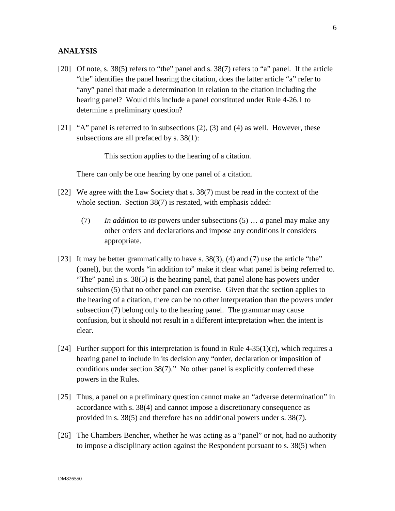#### **ANALYSIS**

- [20] Of note, s. 38(5) refers to "the" panel and s. 38(7) refers to "a" panel. If the article "the" identifies the panel hearing the citation, does the latter article "a" refer to "any" panel that made a determination in relation to the citation including the hearing panel? Would this include a panel constituted under Rule 4-26.1 to determine a preliminary question?
- [21] "A" panel is referred to in subsections  $(2)$ ,  $(3)$  and  $(4)$  as well. However, these subsections are all prefaced by s. 38(1):

This section applies to the hearing of a citation.

There can only be one hearing by one panel of a citation.

- [22] We agree with the Law Society that s. 38(7) must be read in the context of the whole section. Section 38(7) is restated, with emphasis added:
	- (7) *In addition* to *its* powers under subsections (5) … *a* panel may make any other orders and declarations and impose any conditions it considers appropriate.
- [23] It may be better grammatically to have s. 38(3), (4) and (7) use the article "the" (panel), but the words "in addition to" make it clear what panel is being referred to. "The" panel in s. 38(5) is the hearing panel, that panel alone has powers under subsection (5) that no other panel can exercise. Given that the section applies to the hearing of a citation, there can be no other interpretation than the powers under subsection (7) belong only to the hearing panel. The grammar may cause confusion, but it should not result in a different interpretation when the intent is clear.
- [24] Further support for this interpretation is found in Rule  $4-35(1)(c)$ , which requires a hearing panel to include in its decision any "order, declaration or imposition of conditions under section 38(7)." No other panel is explicitly conferred these powers in the Rules.
- [25] Thus, a panel on a preliminary question cannot make an "adverse determination" in accordance with s. 38(4) and cannot impose a discretionary consequence as provided in s. 38(5) and therefore has no additional powers under s. 38(7).
- [26] The Chambers Bencher, whether he was acting as a "panel" or not, had no authority to impose a disciplinary action against the Respondent pursuant to s. 38(5) when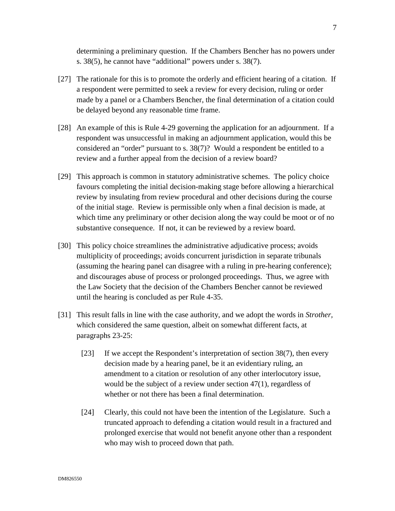determining a preliminary question. If the Chambers Bencher has no powers under s. 38(5), he cannot have "additional" powers under s. 38(7).

- [27] The rationale for this is to promote the orderly and efficient hearing of a citation. If a respondent were permitted to seek a review for every decision, ruling or order made by a panel or a Chambers Bencher, the final determination of a citation could be delayed beyond any reasonable time frame.
- [28] An example of this is Rule 4-29 governing the application for an adjournment. If a respondent was unsuccessful in making an adjournment application, would this be considered an "order" pursuant to s. 38(7)? Would a respondent be entitled to a review and a further appeal from the decision of a review board?
- [29] This approach is common in statutory administrative schemes. The policy choice favours completing the initial decision-making stage before allowing a hierarchical review by insulating from review procedural and other decisions during the course of the initial stage. Review is permissible only when a final decision is made, at which time any preliminary or other decision along the way could be moot or of no substantive consequence. If not, it can be reviewed by a review board.
- [30] This policy choice streamlines the administrative adjudicative process; avoids multiplicity of proceedings; avoids concurrent jurisdiction in separate tribunals (assuming the hearing panel can disagree with a ruling in pre-hearing conference); and discourages abuse of process or prolonged proceedings. Thus, we agree with the Law Society that the decision of the Chambers Bencher cannot be reviewed until the hearing is concluded as per Rule 4-35.
- [31] This result falls in line with the case authority, and we adopt the words in *Strother,* which considered the same question, albeit on somewhat different facts, at paragraphs 23-25:
	- [23] If we accept the Respondent's interpretation of section 38(7), then every decision made by a hearing panel, be it an evidentiary ruling, an amendment to a citation or resolution of any other interlocutory issue, would be the subject of a review under section 47(1), regardless of whether or not there has been a final determination.
	- [24] Clearly, this could not have been the intention of the Legislature. Such a truncated approach to defending a citation would result in a fractured and prolonged exercise that would not benefit anyone other than a respondent who may wish to proceed down that path.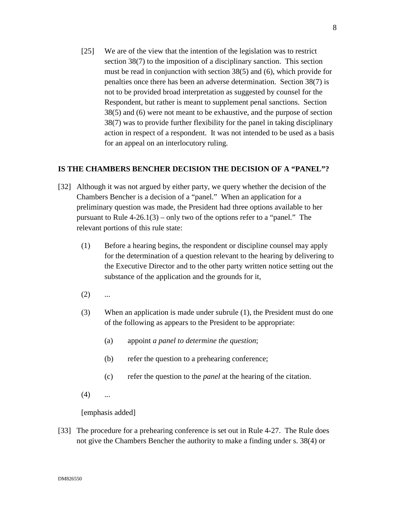[25] We are of the view that the intention of the legislation was to restrict section 38(7) to the imposition of a disciplinary sanction. This section must be read in conjunction with section 38(5) and (6), which provide for penalties once there has been an adverse determination. Section 38(7) is not to be provided broad interpretation as suggested by counsel for the Respondent, but rather is meant to supplement penal sanctions. Section 38(5) and (6) were not meant to be exhaustive, and the purpose of section 38(7) was to provide further flexibility for the panel in taking disciplinary action in respect of a respondent. It was not intended to be used as a basis for an appeal on an interlocutory ruling.

### **IS THE CHAMBERS BENCHER DECISION THE DECISION OF A "PANEL"?**

- [32] Although it was not argued by either party, we query whether the decision of the Chambers Bencher is a decision of a "panel." When an application for a preliminary question was made, the President had three options available to her pursuant to Rule  $4-26.1(3)$  – only two of the options refer to a "panel." The relevant portions of this rule state:
	- (1) Before a hearing begins, the respondent or discipline counsel may apply for the determination of a question relevant to the hearing by delivering to the Executive Director and to the other party written notice setting out the substance of the application and the grounds for it,
	- $(2)$  ...
	- (3) When an application is made under subrule (1), the President must do one of the following as appears to the President to be appropriate:
		- (a) appoint *a panel to determine the question*;
		- (b) refer the question to a prehearing conference;
		- (c) refer the question to the *panel* at the hearing of the citation.
	- $(4)$  ...

[emphasis added]

[33] The procedure for a prehearing conference is set out in Rule 4-27. The Rule does not give the Chambers Bencher the authority to make a finding under s. 38(4) or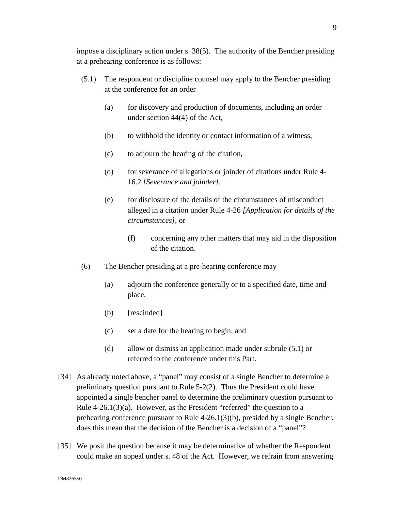impose a disciplinary action under s. 38(5). The authority of the Bencher presiding at a prehearing conference is as follows:

- (5.1) The respondent or discipline counsel may apply to the Bencher presiding at the conference for an order
	- (a) for discovery and production of documents, including an order under section 44(4) of the Act,
	- (b) to withhold the identity or contact information of a witness,
	- (c) to adjourn the hearing of the citation,
	- (d) for severance of allegations or joinder of citations under Rule 4- 16.2 *[Severance and joinder]*,
	- (e) for disclosure of the details of the circumstances of misconduct alleged in a citation under Rule 4-26 *[Application for details of the circumstances]*, or
		- (f) concerning any other matters that may aid in the disposition of the citation.
- (6) The Bencher presiding at a pre-hearing conference may
	- (a) adjourn the conference generally or to a specified date, time and place,
	- (b) [rescinded]
	- (c) set a date for the hearing to begin, and
	- (d) allow or dismiss an application made under subrule (5.1) or referred to the conference under this Part.
- [34] As already noted above, a "panel" may consist of a single Bencher to determine a preliminary question pursuant to Rule 5-2(2). Thus the President could have appointed a single bencher panel to determine the preliminary question pursuant to Rule  $4-26.1(3)(a)$ . However, as the President "referred" the question to a prehearing conference pursuant to Rule 4-26.1(3)(b), presided by a single Bencher, does this mean that the decision of the Bencher is a decision of a "panel"?
- [35] We posit the question because it may be determinative of whether the Respondent could make an appeal under s. 48 of the Act. However, we refrain from answering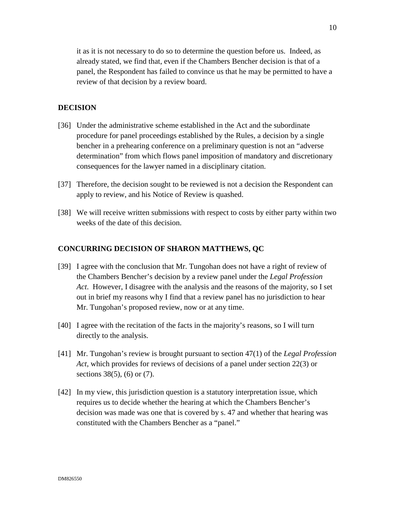it as it is not necessary to do so to determine the question before us. Indeed, as already stated, we find that, even if the Chambers Bencher decision is that of a panel, the Respondent has failed to convince us that he may be permitted to have a review of that decision by a review board.

# **DECISION**

- [36] Under the administrative scheme established in the Act and the subordinate procedure for panel proceedings established by the Rules, a decision by a single bencher in a prehearing conference on a preliminary question is not an "adverse determination" from which flows panel imposition of mandatory and discretionary consequences for the lawyer named in a disciplinary citation.
- [37] Therefore, the decision sought to be reviewed is not a decision the Respondent can apply to review, and his Notice of Review is quashed.
- [38] We will receive written submissions with respect to costs by either party within two weeks of the date of this decision.

### **CONCURRING DECISION OF SHARON MATTHEWS, QC**

- [39] I agree with the conclusion that Mr. Tungohan does not have a right of review of the Chambers Bencher's decision by a review panel under the *Legal Profession Act*. However, I disagree with the analysis and the reasons of the majority, so I set out in brief my reasons why I find that a review panel has no jurisdiction to hear Mr. Tungohan's proposed review, now or at any time.
- [40] I agree with the recitation of the facts in the majority's reasons, so I will turn directly to the analysis.
- [41] Mr. Tungohan's review is brought pursuant to section 47(1) of the *Legal Profession Act*, which provides for reviews of decisions of a panel under section 22(3) or sections 38(5), (6) or (7).
- [42] In my view, this jurisdiction question is a statutory interpretation issue, which requires us to decide whether the hearing at which the Chambers Bencher's decision was made was one that is covered by s. 47 and whether that hearing was constituted with the Chambers Bencher as a "panel."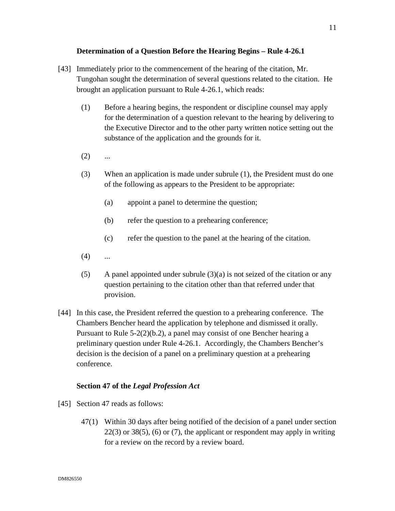# **Determination of a Question Before the Hearing Begins – Rule 4-26.1**

- [43] Immediately prior to the commencement of the hearing of the citation, Mr. Tungohan sought the determination of several questions related to the citation. He brought an application pursuant to Rule 4-26.1, which reads:
	- (1) Before a hearing begins, the respondent or discipline counsel may apply for the determination of a question relevant to the hearing by delivering to the Executive Director and to the other party written notice setting out the substance of the application and the grounds for it.
	- $(2)$  ...
	- (3) When an application is made under subrule (1), the President must do one of the following as appears to the President to be appropriate:
		- (a) appoint a panel to determine the question;
		- (b) refer the question to a prehearing conference;
		- (c) refer the question to the panel at the hearing of the citation.
	- $(4)$  ...
	- (5) A panel appointed under subrule  $(3)(a)$  is not seized of the citation or any question pertaining to the citation other than that referred under that provision.
- [44] In this case, the President referred the question to a prehearing conference. The Chambers Bencher heard the application by telephone and dismissed it orally. Pursuant to Rule 5-2(2)(b.2), a panel may consist of one Bencher hearing a preliminary question under Rule 4-26.1. Accordingly, the Chambers Bencher's decision is the decision of a panel on a preliminary question at a prehearing conference.

#### **Section 47 of the** *Legal Profession Act*

- [45] Section 47 reads as follows:
	- 47(1) Within 30 days after being notified of the decision of a panel under section  $22(3)$  or  $38(5)$ , (6) or (7), the applicant or respondent may apply in writing for a review on the record by a review board.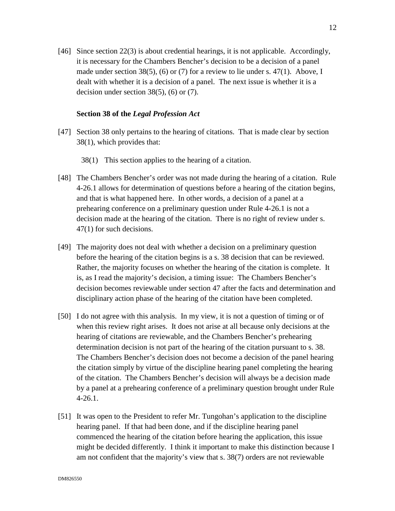[46] Since section 22(3) is about credential hearings, it is not applicable. Accordingly, it is necessary for the Chambers Bencher's decision to be a decision of a panel made under section 38(5), (6) or (7) for a review to lie under s.  $47(1)$ . Above, I dealt with whether it is a decision of a panel. The next issue is whether it is a decision under section  $38(5)$ ,  $(6)$  or  $(7)$ .

#### **Section 38 of the** *Legal Profession Act*

- [47] Section 38 only pertains to the hearing of citations. That is made clear by section 38(1), which provides that:
	- 38(1) This section applies to the hearing of a citation.
- [48] The Chambers Bencher's order was not made during the hearing of a citation. Rule 4-26.1 allows for determination of questions before a hearing of the citation begins, and that is what happened here. In other words, a decision of a panel at a prehearing conference on a preliminary question under Rule 4-26.1 is not a decision made at the hearing of the citation. There is no right of review under s. 47(1) for such decisions.
- [49] The majority does not deal with whether a decision on a preliminary question before the hearing of the citation begins is a s. 38 decision that can be reviewed. Rather, the majority focuses on whether the hearing of the citation is complete. It is, as I read the majority's decision, a timing issue: The Chambers Bencher's decision becomes reviewable under section 47 after the facts and determination and disciplinary action phase of the hearing of the citation have been completed.
- [50] I do not agree with this analysis. In my view, it is not a question of timing or of when this review right arises. It does not arise at all because only decisions at the hearing of citations are reviewable, and the Chambers Bencher's prehearing determination decision is not part of the hearing of the citation pursuant to s. 38. The Chambers Bencher's decision does not become a decision of the panel hearing the citation simply by virtue of the discipline hearing panel completing the hearing of the citation. The Chambers Bencher's decision will always be a decision made by a panel at a prehearing conference of a preliminary question brought under Rule 4-26.1.
- [51] It was open to the President to refer Mr. Tungohan's application to the discipline hearing panel. If that had been done, and if the discipline hearing panel commenced the hearing of the citation before hearing the application, this issue might be decided differently. I think it important to make this distinction because I am not confident that the majority's view that s. 38(7) orders are not reviewable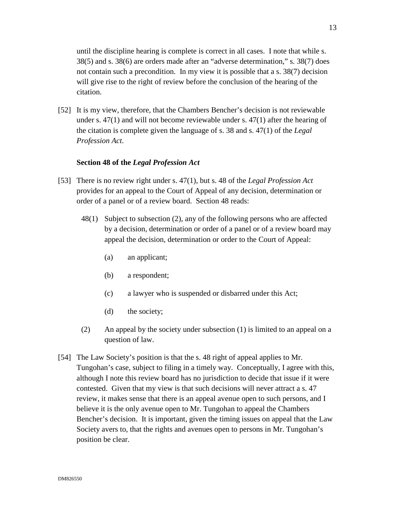until the discipline hearing is complete is correct in all cases. I note that while s. 38(5) and s. 38(6) are orders made after an "adverse determination," s. 38(7) does not contain such a precondition. In my view it is possible that a s. 38(7) decision will give rise to the right of review before the conclusion of the hearing of the citation.

[52] It is my view, therefore, that the Chambers Bencher's decision is not reviewable under s. 47(1) and will not become reviewable under s. 47(1) after the hearing of the citation is complete given the language of s. 38 and s. 47(1) of the *Legal Profession Act*.

# **Section 48 of the** *Legal Profession Act*

- [53] There is no review right under s. 47(1), but s. 48 of the *Legal Profession Act* provides for an appeal to the Court of Appeal of any decision, determination or order of a panel or of a review board. Section 48 reads:
	- 48(1) Subject to subsection (2), any of the following persons who are affected by a decision, determination or order of a panel or of a review board may appeal the decision, determination or order to the Court of Appeal:
		- (a) an applicant;
		- (b) a respondent;
		- (c) a lawyer who is suspended or disbarred under this Act;
		- (d) the society;
	- (2) An appeal by the society under subsection (1) is limited to an appeal on a question of law.
- [54] The Law Society's position is that the s. 48 right of appeal applies to Mr. Tungohan's case, subject to filing in a timely way. Conceptually, I agree with this, although I note this review board has no jurisdiction to decide that issue if it were contested. Given that my view is that such decisions will never attract a s. 47 review, it makes sense that there is an appeal avenue open to such persons, and I believe it is the only avenue open to Mr. Tungohan to appeal the Chambers Bencher's decision. It is important, given the timing issues on appeal that the Law Society avers to, that the rights and avenues open to persons in Mr. Tungohan's position be clear.